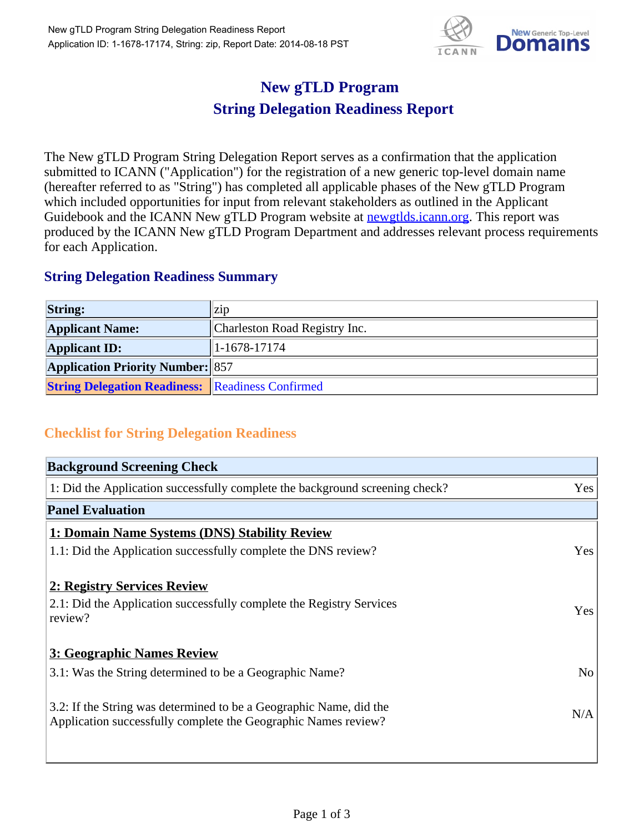

## **New gTLD Program String Delegation Readiness Report**

The New gTLD Program String Delegation Report serves as a confirmation that the application submitted to ICANN ("Application") for the registration of a new generic top-level domain name (hereafter referred to as "String") has completed all applicable phases of the New gTLD Program which included opportunities for input from relevant stakeholders as outlined in the Applicant Guidebook and the ICANN New gTLD Program website at newgtlds.icann.org. This report was produced by the ICANN New gTLD Program Department and addresses relevant process requirements for each Application.

## **String Delegation Readiness Summary**

| <b>String:</b>                                          | $\vert$ Z1D                   |
|---------------------------------------------------------|-------------------------------|
| <b>Applicant Name:</b>                                  | Charleston Road Registry Inc. |
| <b>Applicant ID:</b>                                    | $ 1-1678-17174 $              |
| <b>Application Priority Number: 857</b>                 |                               |
| <b>String Delegation Readiness:</b> Readiness Confirmed |                               |

## **Checklist for String Delegation Readiness**

| <b>Background Screening Check</b>                                               |                |
|---------------------------------------------------------------------------------|----------------|
| 1: Did the Application successfully complete the background screening check?    | Yes            |
| <b>Panel Evaluation</b>                                                         |                |
| 1: Domain Name Systems (DNS) Stability Review                                   |                |
| 1.1: Did the Application successfully complete the DNS review?                  | Yes            |
| 2: Registry Services Review                                                     |                |
|                                                                                 |                |
| 2.1: Did the Application successfully complete the Registry Services<br>review? | <b>Yes</b>     |
|                                                                                 |                |
| 3: Geographic Names Review                                                      |                |
| 3.1: Was the String determined to be a Geographic Name?                         | N <sub>0</sub> |
| 3.2: If the String was determined to be a Geographic Name, did the              |                |
| Application successfully complete the Geographic Names review?                  | N/A            |
|                                                                                 |                |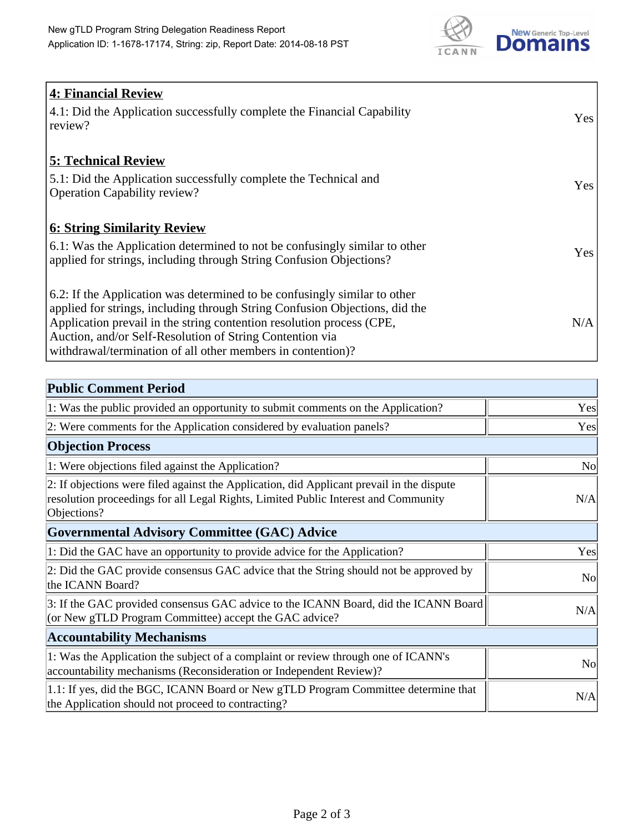

| <b>4: Financial Review</b>                                                  |     |
|-----------------------------------------------------------------------------|-----|
| 4.1: Did the Application successfully complete the Financial Capability     | Yes |
| review?                                                                     |     |
|                                                                             |     |
| <b>5: Technical Review</b>                                                  |     |
| 5.1: Did the Application successfully complete the Technical and            | Yes |
| <b>Operation Capability review?</b>                                         |     |
| <b>6: String Similarity Review</b>                                          |     |
| 6.1: Was the Application determined to not be confusingly similar to other  |     |
| applied for strings, including through String Confusion Objections?         | Yes |
|                                                                             |     |
| 6.2: If the Application was determined to be confusingly similar to other   |     |
| applied for strings, including through String Confusion Objections, did the |     |
| Application prevail in the string contention resolution process (CPE,       | N/A |
| Auction, and/or Self-Resolution of String Contention via                    |     |
| withdrawal/termination of all other members in contention)?                 |     |

| <b>Public Comment Period</b>                                                                                                                                                                   |                |
|------------------------------------------------------------------------------------------------------------------------------------------------------------------------------------------------|----------------|
| 1: Was the public provided an opportunity to submit comments on the Application?                                                                                                               | Yes            |
| 2: Were comments for the Application considered by evaluation panels?                                                                                                                          | Yes            |
| <b>Objection Process</b>                                                                                                                                                                       |                |
| 1: Were objections filed against the Application?                                                                                                                                              | N <sub>0</sub> |
| 2: If objections were filed against the Application, did Applicant prevail in the dispute<br>resolution proceedings for all Legal Rights, Limited Public Interest and Community<br>Objections? | N/A            |
| <b>Governmental Advisory Committee (GAC) Advice</b>                                                                                                                                            |                |
| 1: Did the GAC have an opportunity to provide advice for the Application?                                                                                                                      | Yes            |
| 2: Did the GAC provide consensus GAC advice that the String should not be approved by<br>the ICANN Board?                                                                                      | <b>No</b>      |
| 3: If the GAC provided consensus GAC advice to the ICANN Board, did the ICANN Board<br>(or New gTLD Program Committee) accept the GAC advice?                                                  | N/A            |
| <b>Accountability Mechanisms</b>                                                                                                                                                               |                |
| 1: Was the Application the subject of a complaint or review through one of ICANN's<br>accountability mechanisms (Reconsideration or Independent Review)?                                       | N <sub>0</sub> |
| 1.1: If yes, did the BGC, ICANN Board or New gTLD Program Committee determine that<br>the Application should not proceed to contracting?                                                       | N/A            |